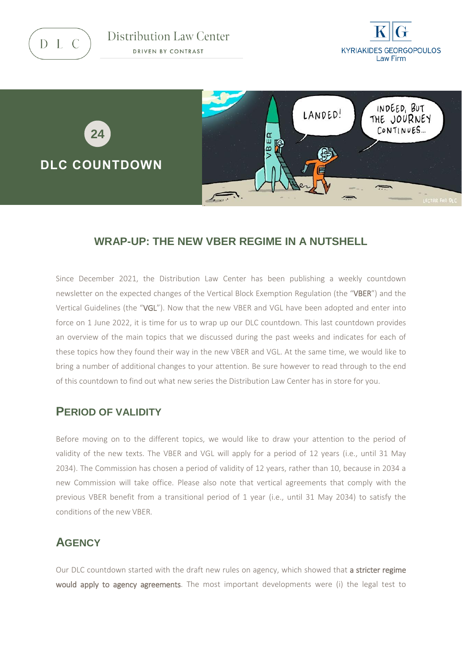D L C

Distribution Law Center DRIVEN BY CONTRAST





#### **WRAP-UP: THE NEW VBER REGIME IN A NUTSHELL**

Since December 2021, the Distribution Law Center has been publishing a weekly countdown newsletter on the expected changes of the Vertical Block Exemption Regulation (the "VBER") and the Vertical Guidelines (the "VGL"). Now that the new VBER and VGL have been adopted and enter into force on 1 June 2022, it is time for us to wrap up our DLC countdown. This last countdown provides an overview of the main topics that we discussed during the past weeks and indicates for each of these topics how they found their way in the new VBER and VGL. At the same time, we would like to bring a number of additional changes to your attention. Be sure however to read through to the end of this countdown to find out what new series the Distribution Law Center has in store for you.

# **PERIOD OF VALIDITY**

Before moving on to the different topics, we would like to draw your attention to the period of validity of the new texts. The VBER and VGL will apply for a period of 12 years (i.e., until 31 May 2034). The Commission has chosen a period of validity of 12 years, rather than 10, because in 2034 a new Commission will take office. Please also note that vertical agreements that comply with the previous VBER benefit from a transitional period of 1 year (i.e., until 31 May 2034) to satisfy the conditions of the new VBER.

# **AGENCY**

Our DLC countdown started with the draft new rules on agency, which showed that a stricter regime would apply to agency agreements. The most important developments were (i) the legal test to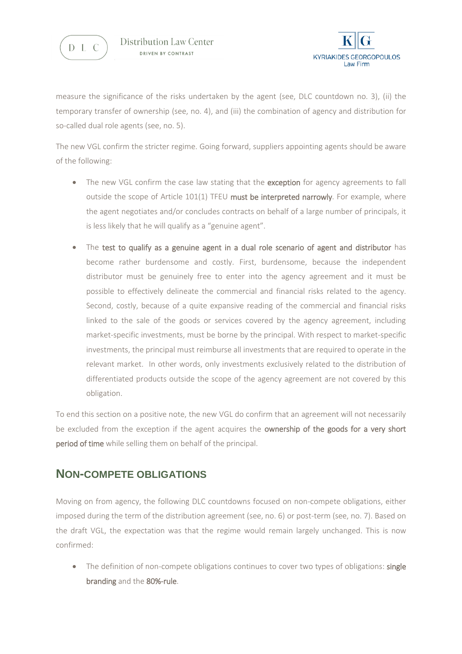



measure the significance of the risks undertaken by the agent (see, DLC countdown no. 3), (ii) the temporary transfer of ownership (see, no. 4), and (iii) the combination of agency and distribution for so-called dual role agents (see, no. 5).

The new VGL confirm the stricter regime. Going forward, suppliers appointing agents should be aware of the following:

- The new VGL confirm the case law stating that the exception for agency agreements to fall outside the scope of Article  $101(1)$  TFEU must be interpreted narrowly. For example, where the agent negotiates and/or concludes contracts on behalf of a large number of principals, it is less likely that he will qualify as a "genuine agent".
- The test to qualify as a genuine agent in a dual role scenario of agent and distributor has become rather burdensome and costly. First, burdensome, because the independent distributor must be genuinely free to enter into the agency agreement and it must be possible to effectively delineate the commercial and financial risks related to the agency. Second, costly, because of a quite expansive reading of the commercial and financial risks linked to the sale of the goods or services covered by the agency agreement, including market-specific investments, must be borne by the principal. With respect to market-specific investments, the principal must reimburse all investments that are required to operate in the relevant market. In other words, only investments exclusively related to the distribution of differentiated products outside the scope of the agency agreement are not covered by this obligation.

To end this section on a positive note, the new VGL do confirm that an agreement will not necessarily be excluded from the exception if the agent acquires the **ownership of the goods for a very short** period of time while selling them on behalf of the principal.

# **NON-COMPETE OBLIGATIONS**

Moving on from agency, the following DLC countdowns focused on non-compete obligations, either imposed during the term of the distribution agreement (see, no. 6) or post-term (see, no. 7). Based on the draft VGL, the expectation was that the regime would remain largely unchanged. This is now confirmed:

• The definition of non-compete obligations continues to cover two types of obligations: single branding and the 80%-rule.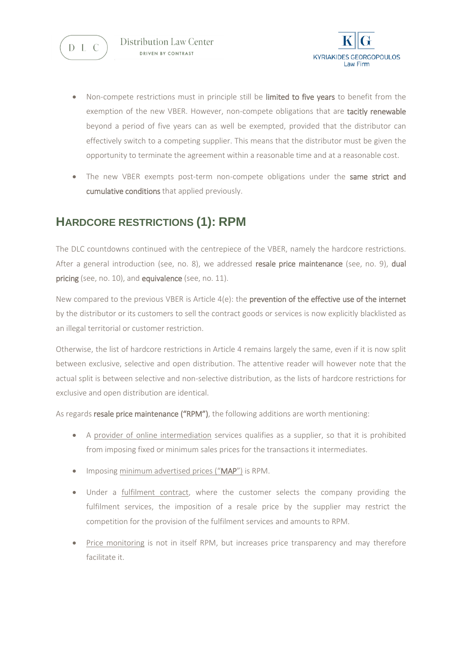



- Non-compete restrictions must in principle still be limited to five years to benefit from the exemption of the new VBER. However, non-compete obligations that are tacitly renewable beyond a period of five years can as well be exempted, provided that the distributor can effectively switch to a competing supplier. This means that the distributor must be given the opportunity to terminate the agreement within a reasonable time and at a reasonable cost.
- The new VBER exempts post-term non-compete obligations under the same strict and cumulative conditions that applied previously.

# **HARDCORE RESTRICTIONS (1): RPM**

The DLC countdowns continued with the centrepiece of the VBER, namely the hardcore restrictions. After a general introduction (see, no. 8), we addressed resale price maintenance (see, no. 9), dual pricing (see, no. 10), and equivalence (see, no. 11).

New compared to the previous VBER is Article 4(e): the prevention of the effective use of the internet by the distributor or its customers to sell the contract goods or services is now explicitly blacklisted as an illegal territorial or customer restriction.

Otherwise, the list of hardcore restrictions in Article 4 remains largely the same, even if it is now split between exclusive, selective and open distribution. The attentive reader will however note that the actual split is between selective and non-selective distribution, as the lists of hardcore restrictions for exclusive and open distribution are identical.

As regards resale price maintenance ("RPM"), the following additions are worth mentioning:

- A provider of online intermediation services qualifies as a supplier, so that it is prohibited from imposing fixed or minimum sales prices for the transactions it intermediates.
- Imposing minimum advertised prices ("MAP") is RPM.
- Under a fulfilment contract, where the customer selects the company providing the fulfilment services, the imposition of a resale price by the supplier may restrict the competition for the provision of the fulfilment services and amounts to RPM.
- Price monitoring is not in itself RPM, but increases price transparency and may therefore facilitate it.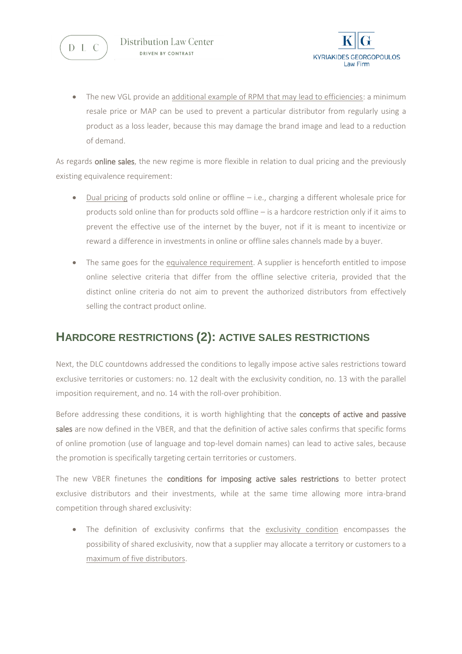



 The new VGL provide an additional example of RPM that may lead to efficiencies: a minimum resale price or MAP can be used to prevent a particular distributor from regularly using a product as a loss leader, because this may damage the brand image and lead to a reduction of demand.

As regards online sales, the new regime is more flexible in relation to dual pricing and the previously existing equivalence requirement:

- Dual pricing of products sold online or offline i.e., charging a different wholesale price for products sold online than for products sold offline – is a hardcore restriction only if it aims to prevent the effective use of the internet by the buyer, not if it is meant to incentivize or reward a difference in investments in online or offline sales channels made by a buyer.
- The same goes for the equivalence requirement. A supplier is henceforth entitled to impose online selective criteria that differ from the offline selective criteria, provided that the distinct online criteria do not aim to prevent the authorized distributors from effectively selling the contract product online.

# **HARDCORE RESTRICTIONS (2): ACTIVE SALES RESTRICTIONS**

Next, the DLC countdowns addressed the conditions to legally impose active sales restrictions toward exclusive territories or customers: no. 12 dealt with the exclusivity condition, no. 13 with the parallel imposition requirement, and no. 14 with the roll-over prohibition.

Before addressing these conditions, it is worth highlighting that the concepts of active and passive sales are now defined in the VBER, and that the definition of active sales confirms that specific forms of online promotion (use of language and top-level domain names) can lead to active sales, because the promotion is specifically targeting certain territories or customers.

The new VBER finetunes the conditions for imposing active sales restrictions to better protect exclusive distributors and their investments, while at the same time allowing more intra-brand competition through shared exclusivity:

 The definition of exclusivity confirms that the exclusivity condition encompasses the possibility of shared exclusivity, now that a supplier may allocate a territory or customers to a maximum of five distributors.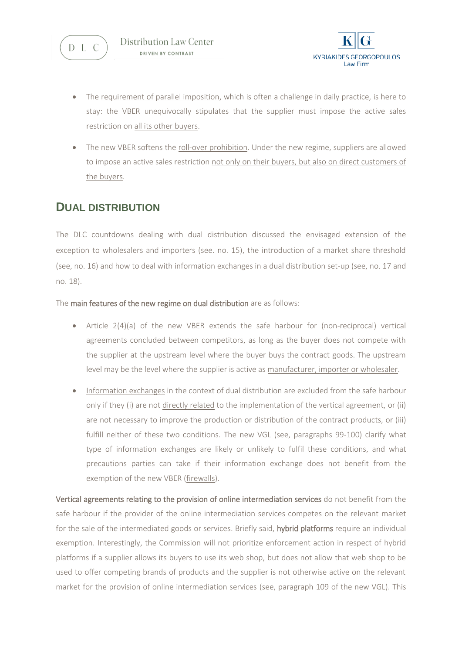



- The requirement of parallel imposition, which is often a challenge in daily practice, is here to stay: the VBER unequivocally stipulates that the supplier must impose the active sales restriction on all its other buyers.
- The new VBER softens the roll-over prohibition. Under the new regime, suppliers are allowed to impose an active sales restriction not only on their buyers, but also on direct customers of the buyers.

### **DUAL DISTRIBUTION**

The DLC countdowns dealing with dual distribution discussed the envisaged extension of the exception to wholesalers and importers (see. no. 15), the introduction of a market share threshold (see, no. 16) and how to deal with information exchanges in a dual distribution set-up (see, no. 17 and no. 18).

The main features of the new regime on dual distribution are as follows:

- Article 2(4)(a) of the new VBER extends the safe harbour for (non-reciprocal) vertical agreements concluded between competitors, as long as the buyer does not compete with the supplier at the upstream level where the buyer buys the contract goods. The upstream level may be the level where the supplier is active as manufacturer, importer or wholesaler.
- Information exchanges in the context of dual distribution are excluded from the safe harbour only if they (i) are not directly related to the implementation of the vertical agreement, or (ii) are not necessary to improve the production or distribution of the contract products, or (iii) fulfill neither of these two conditions. The new VGL (see, paragraphs 99-100) clarify what type of information exchanges are likely or unlikely to fulfil these conditions, and what precautions parties can take if their information exchange does not benefit from the exemption of the new VBER (firewalls).

Vertical agreements relating to the provision of online intermediation services do not benefit from the safe harbour if the provider of the online intermediation services competes on the relevant market for the sale of the intermediated goods or services. Briefly said, hybrid platforms require an individual exemption. Interestingly, the Commission will not prioritize enforcement action in respect of hybrid platforms if a supplier allows its buyers to use its web shop, but does not allow that web shop to be used to offer competing brands of products and the supplier is not otherwise active on the relevant market for the provision of online intermediation services (see, paragraph 109 of the new VGL). This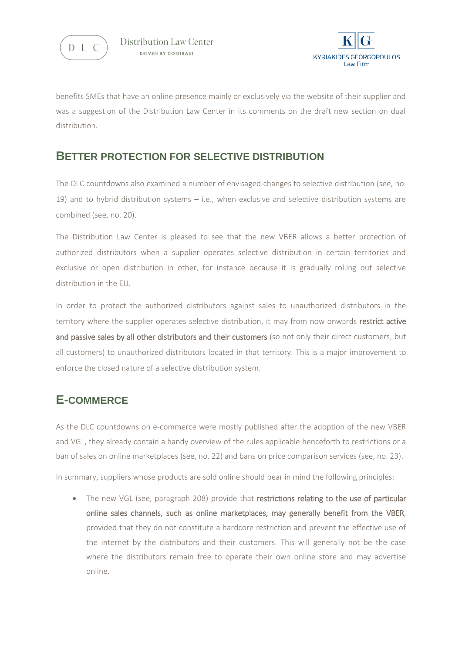



benefits SMEs that have an online presence mainly or exclusively via the website of their supplier and was a suggestion of the Distribution Law Center in its comments on the draft new section on dual distribution.

#### **BETTER PROTECTION FOR SELECTIVE DISTRIBUTION**

The DLC countdowns also examined a number of envisaged changes to selective distribution (see, no. 19) and to hybrid distribution systems – i.e., when exclusive and selective distribution systems are combined (see, no. 20).

The Distribution Law Center is pleased to see that the new VBER allows a better protection of authorized distributors when a supplier operates selective distribution in certain territories and exclusive or open distribution in other, for instance because it is gradually rolling out selective distribution in the EU.

In order to protect the authorized distributors against sales to unauthorized distributors in the territory where the supplier operates selective distribution, it may from now onwards restrict active and passive sales by all other distributors and their customers (so not only their direct customers, but all customers) to unauthorized distributors located in that territory. This is a major improvement to enforce the closed nature of a selective distribution system.

# **E-COMMERCE**

As the DLC countdowns on e-commerce were mostly published after the adoption of the new VBER and VGL, they already contain a handy overview of the rules applicable henceforth to restrictions or a ban of sales on online marketplaces (see, no. 22) and bans on price comparison services (see, no. 23).

In summary, suppliers whose products are sold online should bear in mind the following principles:

• The new VGL (see, paragraph 208) provide that restrictions relating to the use of particular online sales channels, such as online marketplaces, may generally benefit from the VBER, provided that they do not constitute a hardcore restriction and prevent the effective use of the internet by the distributors and their customers. This will generally not be the case where the distributors remain free to operate their own online store and may advertise online.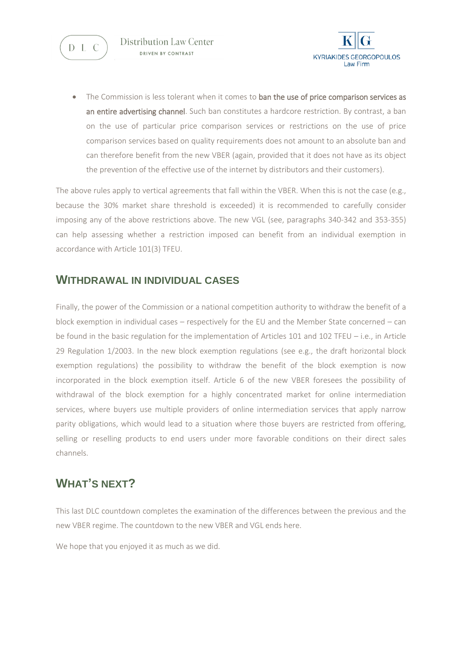



The Commission is less tolerant when it comes to ban the use of price comparison services as an entire advertising channel. Such ban constitutes a hardcore restriction. By contrast, a ban on the use of particular price comparison services or restrictions on the use of price comparison services based on quality requirements does not amount to an absolute ban and can therefore benefit from the new VBER (again, provided that it does not have as its object the prevention of the effective use of the internet by distributors and their customers).

The above rules apply to vertical agreements that fall within the VBER. When this is not the case (e.g., because the 30% market share threshold is exceeded) it is recommended to carefully consider imposing any of the above restrictions above. The new VGL (see, paragraphs 340-342 and 353-355) can help assessing whether a restriction imposed can benefit from an individual exemption in accordance with Article 101(3) TFEU.

#### **WITHDRAWAL IN INDIVIDUAL CASES**

Finally, the power of the Commission or a national competition authority to withdraw the benefit of a block exemption in individual cases – respectively for the EU and the Member State concerned – can be found in the basic regulation for the implementation of Articles 101 and 102 TFEU – i.e., in Article 29 Regulation 1/2003. In the new block exemption regulations (see e.g., the draft horizontal block exemption regulations) the possibility to withdraw the benefit of the block exemption is now incorporated in the block exemption itself. Article 6 of the new VBER foresees the possibility of withdrawal of the block exemption for a highly concentrated market for online intermediation services, where buyers use multiple providers of online intermediation services that apply narrow parity obligations, which would lead to a situation where those buyers are restricted from offering, selling or reselling products to end users under more favorable conditions on their direct sales channels.

# **WHAT'S NEXT?**

This last DLC countdown completes the examination of the differences between the previous and the new VBER regime. The countdown to the new VBER and VGL ends here.

We hope that you enjoyed it as much as we did.